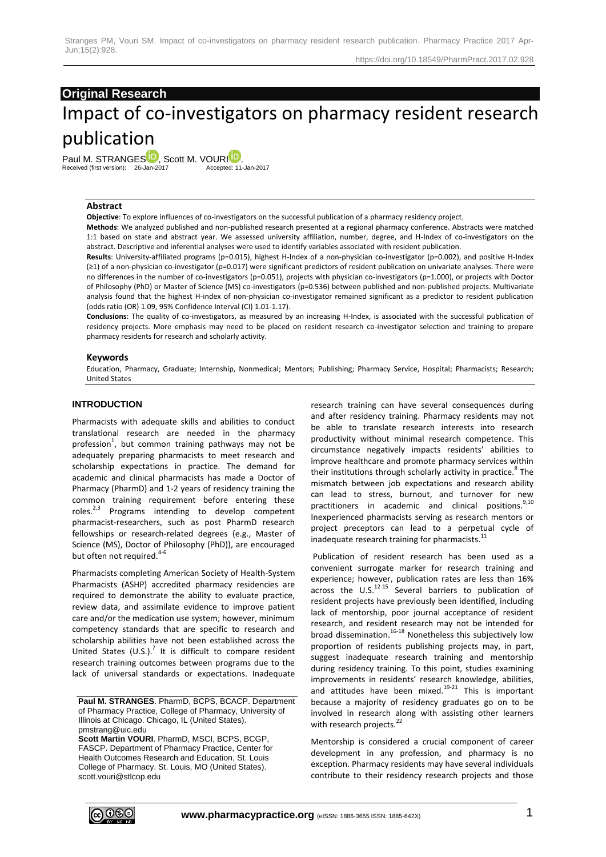# **Original Research**

# Impact of co-investigators on pharmacy resident research publication

Paul M. [S](http://orcid.org/0000-0003-3797-2762)TRANGES<sup>tD</sup>, Scott M. VOU[RI](http://orcid.org/0000-0002-0411-2160)<sup>D</sup>.<br>Received (first version): 26-Jan-2017<br>Accepted: 11-Jan-2017 Received (first version): 26-Jan-2017

## **Abstract**

**Objective**: To explore influences of co-investigators on the successful publication of a pharmacy residency project.

**Methods**: We analyzed published and non-published research presented at a regional pharmacy conference. Abstracts were matched 1:1 based on state and abstract year. We assessed university affiliation, number, degree, and H-Index of co-investigators on the abstract. Descriptive and inferential analyses were used to identify variables associated with resident publication.

**Results**: University-affiliated programs (p=0.015), highest H-Index of a non-physician co-investigator (p=0.002), and positive H-Index (≥1) of a non-physician co-investigator (p=0.017) were significant predictors of resident publication on univariate analyses. There were no differences in the number of co-investigators (p=0.051), projects with physician co-investigators (p=1.000), or projects with Doctor of Philosophy (PhD) or Master of Science (MS) co-investigators (p=0.536) between published and non-published projects. Multivariate analysis found that the highest H-index of non-physician co-investigator remained significant as a predictor to resident publication (odds ratio (OR) 1.09, 95% Confidence Interval (CI) 1.01-1.17).

**Conclusions**: The quality of co-investigators, as measured by an increasing H-Index, is associated with the successful publication of residency projects. More emphasis may need to be placed on resident research co-investigator selection and training to prepare pharmacy residents for research and scholarly activity.

#### **Keywords**

Education, Pharmacy, Graduate; Internship, Nonmedical; Mentors; Publishing; Pharmacy Service, Hospital; Pharmacists; Research; United States

## **INTRODUCTION**

Pharmacists with adequate skills and abilities to conduct translational research are needed in the pharmacy profession<sup>1</sup>, but common training pathways may not be adequately preparing pharmacists to meet research and scholarship expectations in practice. The demand for academic and clinical pharmacists has made a Doctor of Pharmacy (PharmD) and 1-2 years of residency training the common training requirement before entering these roles. $^{2,3}$  Programs intending to develop competent pharmacist-researchers, such as post PharmD research fellowships or research-related degrees (e.g., Master of Science (MS), Doctor of Philosophy (PhD)), are encouraged but often not required.<sup>4-</sup>

Pharmacists completing American Society of Health-System Pharmacists (ASHP) accredited pharmacy residencies are required to demonstrate the ability to evaluate practice, review data, and assimilate evidence to improve patient care and/or the medication use system; however, minimum competency standards that are specific to research and scholarship abilities have not been established across the United States  $(U.S.)$ .<sup>7</sup> It is difficult to compare resident research training outcomes between programs due to the lack of universal standards or expectations. Inadequate

**Paul M. STRANGES**. PharmD, BCPS, BCACP. Department of Pharmacy Practice, College of Pharmacy, University of Illinois at Chicago. Chicago, IL (United States). pmstrang@uic.edu

**Scott Martin VOURI**. PharmD, MSCI, BCPS, BCGP, FASCP. Department of Pharmacy Practice, Center for Health Outcomes Research and Education, St. Louis College of Pharmacy. St. Louis, MO (United States). scott.vouri@stlcop.edu

research training can have several consequences during and after residency training. Pharmacy residents may not be able to translate research interests into research productivity without minimal research competence. This circumstance negatively impacts residents' abilities to improve healthcare and promote pharmacy services within their institutions through scholarly activity in practice.<sup>8</sup> The mismatch between job expectations and research ability can lead to stress, burnout, and turnover for new practitioners in academic and clinical positions.<sup>9,10</sup> Inexperienced pharmacists serving as research mentors or project preceptors can lead to a perpetual cycle of inadequate research training for pharmacists.<sup>11</sup>

Publication of resident research has been used as a convenient surrogate marker for research training and experience; however, publication rates are less than 16% across the  $U.S.<sup>12-15</sup>$  Several barriers to publication of resident projects have previously been identified, including lack of mentorship, poor journal acceptance of resident research, and resident research may not be intended for broad dissemination.16-18 Nonetheless this subjectively low proportion of residents publishing projects may, in part, suggest inadequate research training and mentorship during residency training. To this point, studies examining improvements in residents' research knowledge, abilities, and attitudes have been mixed.<sup>19-21</sup> This is important because a majority of residency graduates go on to be involved in research along with assisting other learners with research projects.<sup>22</sup>

Mentorship is considered a crucial component of career development in any profession, and pharmacy is no exception. Pharmacy residents may have several individuals contribute to their residency research projects and those

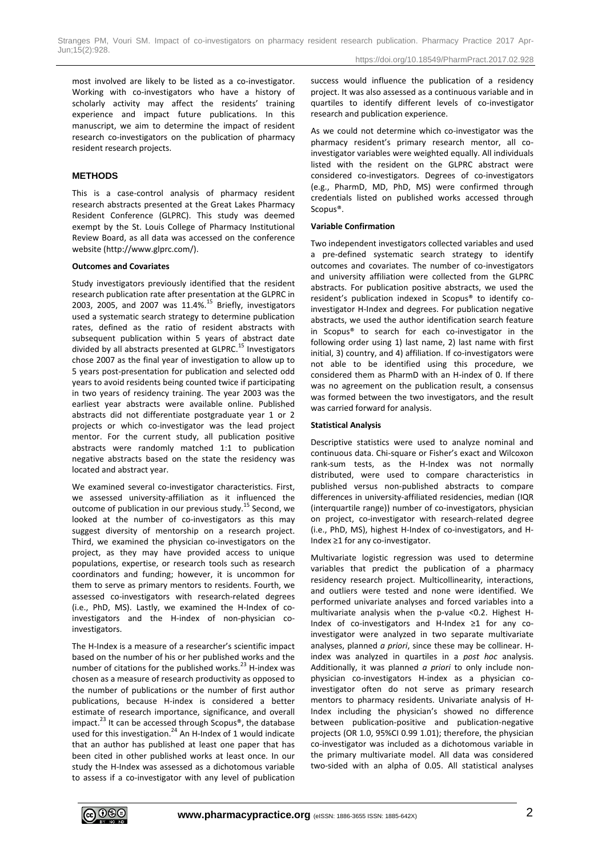most involved are likely to be listed as a co-investigator. Working with co-investigators who have a history of scholarly activity may affect the residents' training experience and impact future publications. In this manuscript, we aim to determine the impact of resident research co-investigators on the publication of pharmacy resident research projects.

## **METHODS**

This is a case-control analysis of pharmacy resident research abstracts presented at the Great Lakes Pharmacy Resident Conference (GLPRC). This study was deemed exempt by the St. Louis College of Pharmacy Institutional Review Board, as all data was accessed on the conference website (http://www.glprc.com/).

#### **Outcomes and Covariates**

Study investigators previously identified that the resident research publication rate after presentation at the GLPRC in 2003, 2005, and 2007 was  $11.4\%$ .<sup>15</sup> Briefly, investigators used a systematic search strategy to determine publication rates, defined as the ratio of resident abstracts with subsequent publication within 5 years of abstract date divided by all abstracts presented at GLPRC.<sup>15</sup> Investigators chose 2007 as the final year of investigation to allow up to 5 years post-presentation for publication and selected odd years to avoid residents being counted twice if participating in two years of residency training. The year 2003 was the earliest year abstracts were available online. Published abstracts did not differentiate postgraduate year 1 or 2 projects or which co-investigator was the lead project mentor. For the current study, all publication positive abstracts were randomly matched 1:1 to publication negative abstracts based on the state the residency was located and abstract year.

We examined several co-investigator characteristics. First, we assessed university-affiliation as it influenced the outcome of publication in our previous study.<sup>15</sup> Second, we looked at the number of co-investigators as this may suggest diversity of mentorship on a research project. Third, we examined the physician co-investigators on the project, as they may have provided access to unique populations, expertise, or research tools such as research coordinators and funding; however, it is uncommon for them to serve as primary mentors to residents. Fourth, we assessed co-investigators with research-related degrees (i.e., PhD, MS). Lastly, we examined the H-Index of coinvestigators and the H-index of non-physician coinvestigators.

The H-Index is a measure of a researcher's scientific impact based on the number of his or her published works and the number of citations for the published works.<sup>23</sup> H-index was chosen as a measure of research productivity as opposed to the number of publications or the number of first author publications, because H-index is considered a better estimate of research importance, significance, and overall impact.<sup>23</sup> It can be accessed through Scopus®, the database used for this investigation.<sup>24</sup> An H-Index of 1 would indicate that an author has published at least one paper that has been cited in other published works at least once. In our study the H-Index was assessed as a dichotomous variable to assess if a co-investigator with any level of publication success would influence the publication of a residency project. It was also assessed as a continuous variable and in quartiles to identify different levels of co-investigator research and publication experience.

As we could not determine which co-investigator was the pharmacy resident's primary research mentor, all coinvestigator variables were weighted equally. All individuals listed with the resident on the GLPRC abstract were considered co-investigators. Degrees of co-investigators (e.g., PharmD, MD, PhD, MS) were confirmed through credentials listed on published works accessed through Scopus®.

### **Variable Confirmation**

Two independent investigators collected variables and used a pre-defined systematic search strategy to identify outcomes and covariates. The number of co-investigators and university affiliation were collected from the GLPRC abstracts. For publication positive abstracts, we used the resident's publication indexed in Scopus® to identify coinvestigator H-Index and degrees. For publication negative abstracts, we used the author identification search feature in Scopus® to search for each co-investigator in the following order using 1) last name, 2) last name with first initial, 3) country, and 4) affiliation. If co-investigators were not able to be identified using this procedure, we considered them as PharmD with an H-index of 0. If there was no agreement on the publication result, a consensus was formed between the two investigators, and the result was carried forward for analysis.

#### **Statistical Analysis**

Descriptive statistics were used to analyze nominal and continuous data. Chi-square or Fisher's exact and Wilcoxon rank-sum tests, as the H-Index was not normally distributed, were used to compare characteristics in published versus non-published abstracts to compare differences in university-affiliated residencies, median (IQR (interquartile range)) number of co-investigators, physician on project, co-investigator with research-related degree (i.e., PhD, MS), highest H-Index of co-investigators, and H-Index ≥1 for any co-investigator.

Multivariate logistic regression was used to determine variables that predict the publication of a pharmacy residency research project. Multicollinearity, interactions, and outliers were tested and none were identified. We performed univariate analyses and forced variables into a multivariate analysis when the p-value <0.2. Highest H-Index of co-investigators and H-Index ≥1 for any coinvestigator were analyzed in two separate multivariate analyses, planned *a priori*, since these may be collinear. Hindex was analyzed in quartiles in a *post hoc* analysis. Additionally, it was planned *a priori* to only include nonphysician co-investigators H-index as a physician coinvestigator often do not serve as primary research mentors to pharmacy residents. Univariate analysis of H-Index including the physician's showed no difference between publication-positive and publication-negative projects (OR 1.0, 95%CI 0.99 1.01); therefore, the physician co-investigator was included as a dichotomous variable in the primary multivariate model. All data was considered two-sided with an alpha of 0.05. All statistical analyses

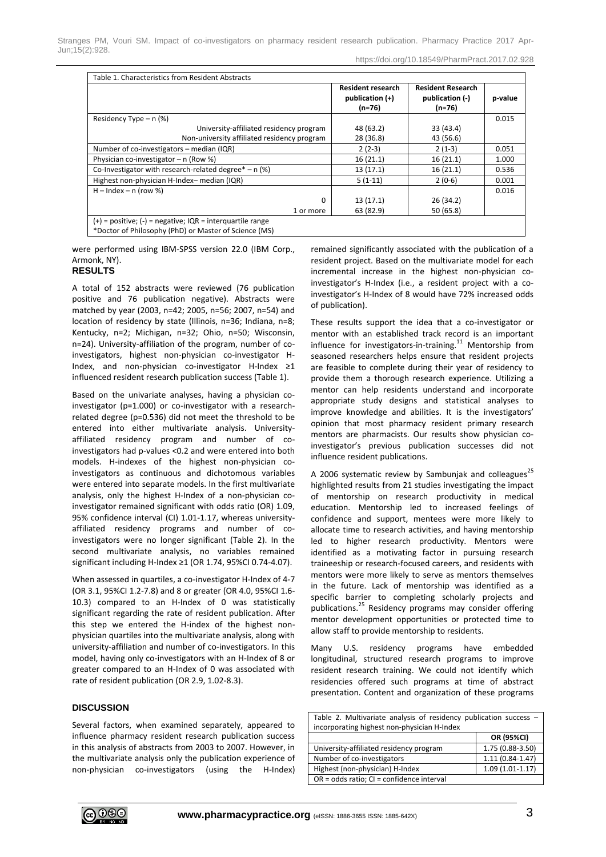Stranges PM, Vouri SM. Impact of co-investigators on pharmacy resident research publication. Pharmacy Practice 2017 Apr-Jun;15(2):928.

| https://doi.org/10.18549/PharmPract.2017.02.928 |
|-------------------------------------------------|
|-------------------------------------------------|

| Table 1. Characteristics from Resident Abstracts              |                                                           |                                                       |         |  |
|---------------------------------------------------------------|-----------------------------------------------------------|-------------------------------------------------------|---------|--|
|                                                               | <b>Resident research</b><br>publication $(+)$<br>$(n=76)$ | <b>Resident Research</b><br>publication (-)<br>(n=76) | p-value |  |
| Residency Type $-$ n $(\%)$                                   |                                                           |                                                       | 0.015   |  |
| University-affiliated residency program                       | 48 (63.2)                                                 | 33 (43.4)                                             |         |  |
| Non-university affiliated residency program                   | 28 (36.8)                                                 | 43 (56.6)                                             |         |  |
| Number of co-investigators - median (IQR)                     | $2(2-3)$                                                  | $2(1-3)$                                              | 0.051   |  |
| Physician co-investigator $-$ n (Row %)                       | 16(21.1)                                                  | 16(21.1)                                              | 1.000   |  |
| Co-Investigator with research-related degree* $-$ n (%)       | 13(17.1)                                                  | 16(21.1)                                              | 0.536   |  |
| Highest non-physician H-Index-median (IQR)                    | $5(1-11)$                                                 | $2(0-6)$                                              | 0.001   |  |
| $H - Index - n$ (row %)                                       |                                                           |                                                       | 0.016   |  |
| 0                                                             | 13(17.1)                                                  | 26(34.2)                                              |         |  |
| 1 or more                                                     | 63 (82.9)                                                 | 50 (65.8)                                             |         |  |
| $(+)$ = positive; $(-)$ = negative; IQR = interquartile range |                                                           |                                                       |         |  |
| *Doctor of Philosophy (PhD) or Master of Science (MS)         |                                                           |                                                       |         |  |

were performed using IBM-SPSS version 22.0 (IBM Corp., Armonk, NY).

## **RESULTS**

A total of 152 abstracts were reviewed (76 publication positive and 76 publication negative). Abstracts were matched by year (2003, n=42; 2005, n=56; 2007, n=54) and location of residency by state (Illinois, n=36; Indiana, n=8; Kentucky, n=2; Michigan, n=32; Ohio, n=50; Wisconsin, n=24). University-affiliation of the program, number of coinvestigators, highest non-physician co-investigator H-Index, and non-physician co-investigator H-Index ≥1 influenced resident research publication success (Table 1).

Based on the univariate analyses, having a physician coinvestigator (p=1.000) or co-investigator with a researchrelated degree (p=0.536) did not meet the threshold to be entered into either multivariate analysis. Universityaffiliated residency program and number of coinvestigators had p-values <0.2 and were entered into both models. H-indexes of the highest non-physician coinvestigators as continuous and dichotomous variables were entered into separate models. In the first multivariate analysis, only the highest H-Index of a non-physician coinvestigator remained significant with odds ratio (OR) 1.09, 95% confidence interval (CI) 1.01-1.17, whereas universityaffiliated residency programs and number of coinvestigators were no longer significant (Table 2). In the second multivariate analysis, no variables remained significant including H-Index ≥1 (OR 1.74, 95%CI 0.74-4.07).

When assessed in quartiles, a co-investigator H-Index of 4-7 (OR 3.1, 95%CI 1.2-7.8) and 8 or greater (OR 4.0, 95%CI 1.6- 10.3) compared to an H-Index of 0 was statistically significant regarding the rate of resident publication. After this step we entered the H-index of the highest nonphysician quartiles into the multivariate analysis, along with university-affiliation and number of co-investigators. In this model, having only co-investigators with an H-Index of 8 or greater compared to an H-Index of 0 was associated with rate of resident publication (OR 2.9, 1.02-8.3).

## **DISCUSSION**

Several factors, when examined separately, appeared to influence pharmacy resident research publication success in this analysis of abstracts from 2003 to 2007. However, in the multivariate analysis only the publication experience of non-physician co-investigators (using the H-Index) remained significantly associated with the publication of a resident project. Based on the multivariate model for each incremental increase in the highest non-physician coinvestigator's H-Index (i.e., a resident project with a coinvestigator's H-Index of 8 would have 72% increased odds of publication).

These results support the idea that a co-investigator or mentor with an established track record is an important influence for investigators-in-training. $11$  Mentorship from seasoned researchers helps ensure that resident projects are feasible to complete during their year of residency to provide them a thorough research experience. Utilizing a mentor can help residents understand and incorporate appropriate study designs and statistical analyses to improve knowledge and abilities. It is the investigators' opinion that most pharmacy resident primary research mentors are pharmacists. Our results show physician coinvestigator's previous publication successes did not influence resident publications.

A 2006 systematic review by Sambunjak and colleagues<sup>25</sup> highlighted results from 21 studies investigating the impact of mentorship on research productivity in medical education. Mentorship led to increased feelings of confidence and support, mentees were more likely to allocate time to research activities, and having mentorship led to higher research productivity. Mentors were identified as a motivating factor in pursuing research traineeship or research-focused careers, and residents with mentors were more likely to serve as mentors themselves in the future. Lack of mentorship was identified as a specific barrier to completing scholarly projects and publications.<sup>25</sup> Residency programs may consider offering mentor development opportunities or protected time to allow staff to provide mentorship to residents.

Many U.S. residency programs have embedded longitudinal, structured research programs to improve resident research training. We could not identify which residencies offered such programs at time of abstract presentation. Content and organization of these programs

| Table 2. Multivariate analysis of residency publication success $-$ |                   |  |  |
|---------------------------------------------------------------------|-------------------|--|--|
| incorporating highest non-physician H-Index                         |                   |  |  |
|                                                                     | OR (95%CI)        |  |  |
| University-affiliated residency program                             | 1.75 (0.88-3.50)  |  |  |
| Number of co-investigators                                          | $1.11(0.84-1.47)$ |  |  |
| Highest (non-physician) H-Index                                     | $1.09(1.01-1.17)$ |  |  |
| OR = odds ratio; CI = confidence interval                           |                   |  |  |

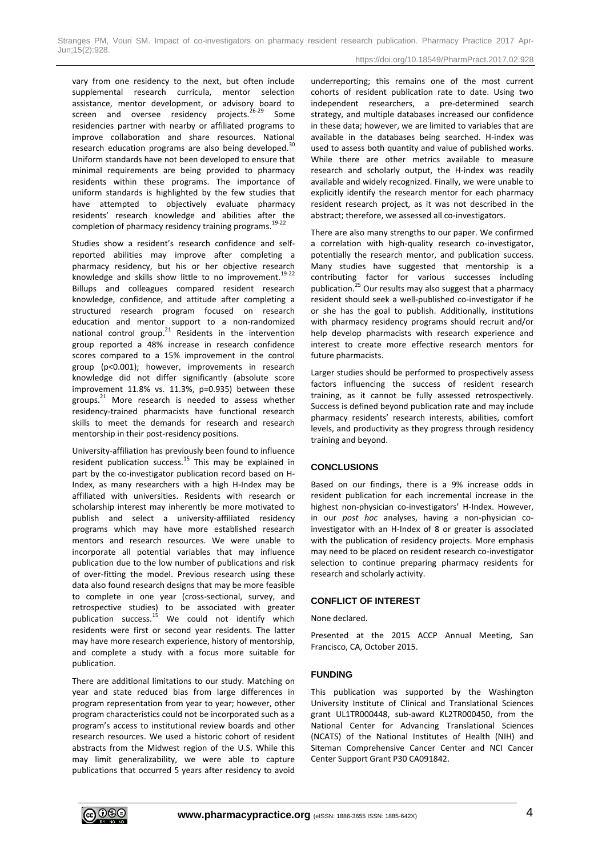vary from one residency to the next, but often include supplemental research curricula, mentor selection assistance, mentor development, or advisory board to screen and oversee residency projects.<sup>26-29</sup> Some residencies partner with nearby or affiliated programs to improve collaboration and share resources. National research education programs are also being developed.<sup>30</sup> Uniform standards have not been developed to ensure that minimal requirements are being provided to pharmacy residents within these programs. The importance of uniform standards is highlighted by the few studies that have attempted to objectively evaluate pharmacy residents' research knowledge and abilities after the completion of pharmacy residency training programs.<sup>19-22</sup>

Studies show a resident's research confidence and selfreported abilities may improve after completing a pharmacy residency, but his or her objective research knowledge and skills show little to no improvement.<sup>19-22</sup> Billups and colleagues compared resident research knowledge, confidence, and attitude after completing a structured research program focused on research education and mentor support to a non-randomized national control group. $21$  Residents in the intervention group reported a 48% increase in research confidence scores compared to a 15% improvement in the control group (p<0.001); however, improvements in research knowledge did not differ significantly (absolute score improvement 11.8% vs. 11.3%, p=0.935) between these groups. <sup>21</sup> More research is needed to assess whether residency-trained pharmacists have functional research skills to meet the demands for research and research mentorship in their post-residency positions.

University-affiliation has previously been found to influence resident publication success.<sup>15</sup> This may be explained in part by the co-investigator publication record based on H-Index, as many researchers with a high H-Index may be affiliated with universities. Residents with research or scholarship interest may inherently be more motivated to publish and select a university-affiliated residency programs which may have more established research mentors and research resources. We were unable to incorporate all potential variables that may influence publication due to the low number of publications and risk of over-fitting the model. Previous research using these data also found research designs that may be more feasible to complete in one year (cross-sectional, survey, and retrospective studies) to be associated with greater publication success.<sup>15</sup> We could not identify which residents were first or second year residents. The latter may have more research experience, history of mentorship, and complete a study with a focus more suitable for publication.

There are additional limitations to our study. Matching on year and state reduced bias from large differences in program representation from year to year; however, other program characteristics could not be incorporated such as a program's access to institutional review boards and other research resources. We used a historic cohort of resident abstracts from the Midwest region of the U.S. While this may limit generalizability, we were able to capture publications that occurred 5 years after residency to avoid underreporting; this remains one of the most current cohorts of resident publication rate to date. Using two independent researchers, a pre-determined search strategy, and multiple databases increased our confidence in these data; however, we are limited to variables that are available in the databases being searched. H-index was used to assess both quantity and value of published works. While there are other metrics available to measure research and scholarly output, the H-index was readily available and widely recognized. Finally, we were unable to explicitly identify the research mentor for each pharmacy resident research project, as it was not described in the abstract; therefore, we assessed all co-investigators.

There are also many strengths to our paper. We confirmed a correlation with high-quality research co-investigator, potentially the research mentor, and publication success. Many studies have suggested that mentorship is a contributing factor for various successes including publication.<sup>25</sup> Our results may also suggest that a pharmacy resident should seek a well-published co-investigator if he or she has the goal to publish. Additionally, institutions with pharmacy residency programs should recruit and/or help develop pharmacists with research experience and interest to create more effective research mentors for future pharmacists.

Larger studies should be performed to prospectively assess factors influencing the success of resident research training, as it cannot be fully assessed retrospectively. Success is defined beyond publication rate and may include pharmacy residents' research interests, abilities, comfort levels, and productivity as they progress through residency training and beyond.

#### **CONCLUSIONS**

Based on our findings, there is a 9% increase odds in resident publication for each incremental increase in the highest non-physician co-investigators' H-Index. However, in our *post hoc* analyses, having a non-physician coinvestigator with an H-Index of 8 or greater is associated with the publication of residency projects. More emphasis may need to be placed on resident research co-investigator selection to continue preparing pharmacy residents for research and scholarly activity.

#### **CONFLICT OF INTEREST**

None declared.

Presented at the 2015 ACCP Annual Meeting, San Francisco, CA, October 2015.

## **FUNDING**

This publication was supported by the Washington University Institute of Clinical and Translational Sciences grant UL1TR000448, sub-award KL2TR000450, from the National Center for Advancing Translational Sciences (NCATS) of the National Institutes of Health (NIH) and Siteman Comprehensive Cancer Center and NCI Cancer Center Support Grant P30 CA091842.